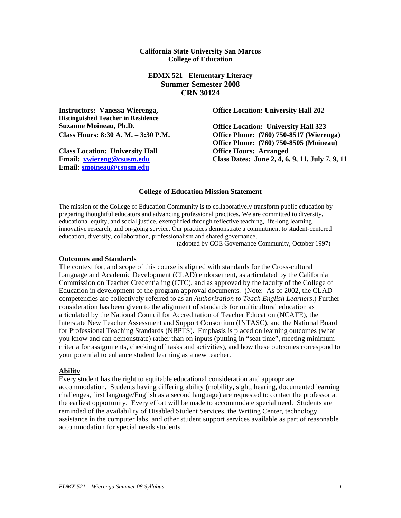### **California State University San Marcos College of Education**

**EDMX 521 - Elementary Literacy Summer Semester 2008 CRN 30124** 

**Instructors: Vanessa Wierenga, Distinguished Teacher in Residence Suzanne Moineau, Ph.D.** 

**Class Location: University Hall Office Hours: Arranged Email: vwiereng@csusm.edu Email: smoineau@csusm.edu**

**Office Location: University Hall 202** 

**Office Location: University Hall 323 Class Hours: 8:30 A. M. – 3:30 P.M. Office Phone: (760) 750-8517 (Wierenga) Office Phone: (760) 750-8505 (Moineau) Class Dates: June 2, 4, 6, 9, 11, July 7, 9, 11** 

#### **College of Education Mission Statement**

The mission of the College of Education Community is to collaboratively transform public education by preparing thoughtful educators and advancing professional practices. We are committed to diversity, educational equity, and social justice, exemplified through reflective teaching, life-long learning, innovative research, and on-going service. Our practices demonstrate a commitment to student-centered education, diversity, collaboration, professionalism and shared governance.

(adopted by COE Governance Community, October 1997)

#### **Outcomes and Standards**

The context for, and scope of this course is aligned with standards for the Cross-cultural Language and Academic Development (CLAD) endorsement, as articulated by the California Commission on Teacher Credentialing (CTC), and as approved by the faculty of the College of Education in development of the program approval documents. (Note: As of 2002, the CLAD competencies are collectively referred to as an *Authorization to Teach English Learners*.) Further consideration has been given to the alignment of standards for multicultural education as articulated by the National Council for Accreditation of Teacher Education (NCATE), the Interstate New Teacher Assessment and Support Consortium (INTASC), and the National Board for Professional Teaching Standards (NBPTS). Emphasis is placed on learning outcomes (what you know and can demonstrate) rather than on inputs (putting in "seat time", meeting minimum criteria for assignments, checking off tasks and activities), and how these outcomes correspond to your potential to enhance student learning as a new teacher.

#### **Ability**

Every student has the right to equitable educational consideration and appropriate accommodation. Students having differing ability (mobility, sight, hearing, documented learning challenges, first language/English as a second language) are requested to contact the professor at the earliest opportunity. Every effort will be made to accommodate special need. Students are reminded of the availability of Disabled Student Services, the Writing Center, technology assistance in the computer labs, and other student support services available as part of reasonable accommodation for special needs students.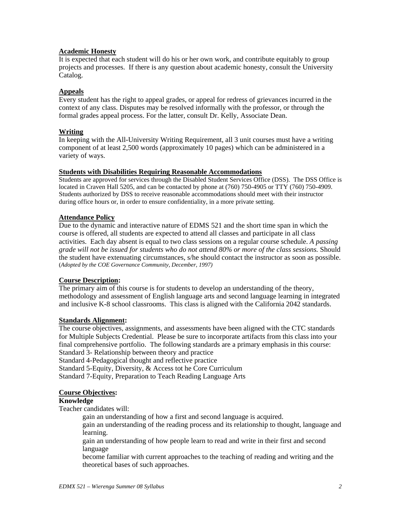### **Academic Honesty**

It is expected that each student will do his or her own work, and contribute equitably to group projects and processes. If there is any question about academic honesty, consult the University Catalog.

### **Appeals**

Every student has the right to appeal grades, or appeal for redress of grievances incurred in the context of any class. Disputes may be resolved informally with the professor, or through the formal grades appeal process. For the latter, consult Dr. Kelly, Associate Dean.

### **Writing**

In keeping with the All-University Writing Requirement, all 3 unit courses must have a writing component of at least 2,500 words (approximately 10 pages) which can be administered in a variety of ways.

#### **Students with Disabilities Requiring Reasonable Accommodations**

Students are approved for services through the Disabled Student Services Office (DSS). The DSS Office is located in Craven Hall 5205, and can be contacted by phone at (760) 750-4905 or TTY (760) 750-4909. Students authorized by DSS to receive reasonable accommodations should meet with their instructor during office hours or, in order to ensure confidentiality, in a more private setting.

# **Attendance Policy**

Due to the dynamic and interactive nature of EDMS 521 and the short time span in which the course is offered, all students are expected to attend all classes and participate in all class activities. Each day absent is equal to two class sessions on a regular course schedule. *A passing grade will not be issued for students who do not attend 80% or more of the class sessions.* Should the student have extenuating circumstances, s/he should contact the instructor as soon as possible. (*Adopted by the COE Governance Community, December, 1997)*

## **Course Description:**

The primary aim of this course is for students to develop an understanding of the theory, methodology and assessment of English language arts and second language learning in integrated and inclusive K-8 school classrooms. This class is aligned with the California 2042 standards.

## **Standards Alignment:**

The course objectives, assignments, and assessments have been aligned with the CTC standards for Multiple Subjects Credential. Please be sure to incorporate artifacts from this class into your final comprehensive portfolio. The following standards are a primary emphasis in this course: Standard 3- Relationship between theory and practice

Standard 4-Pedagogical thought and reflective practice

Standard 5-Equity, Diversity, & Access tot he Core Curriculum

Standard 7-Equity, Preparation to Teach Reading Language Arts

#### **Course Objectives:**

#### **Knowledge**

Teacher candidates will:

gain an understanding of how a first and second language is acquired.

gain an understanding of the reading process and its relationship to thought, language and learning.

gain an understanding of how people learn to read and write in their first and second language

become familiar with current approaches to the teaching of reading and writing and the theoretical bases of such approaches.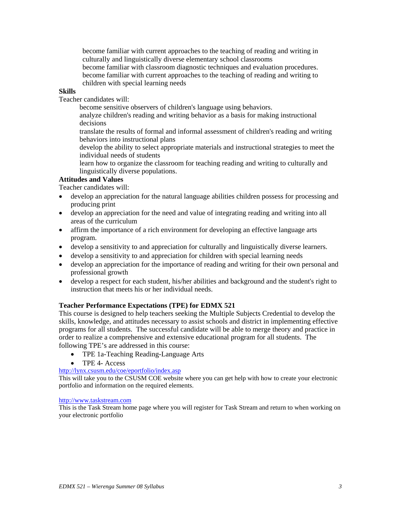become familiar with current approaches to the teaching of reading and writing in culturally and linguistically diverse elementary school classrooms become familiar with classroom diagnostic techniques and evaluation procedures.

become familiar with current approaches to the teaching of reading and writing to children with special learning needs

## **Skills**

Teacher candidates will:

become sensitive observers of children's language using behaviors.

analyze children's reading and writing behavior as a basis for making instructional decisions

translate the results of formal and informal assessment of children's reading and writing behaviors into instructional plans

develop the ability to select appropriate materials and instructional strategies to meet the individual needs of students

learn how to organize the classroom for teaching reading and writing to culturally and linguistically diverse populations.

# **Attitudes and Values**

Teacher candidates will:

- develop an appreciation for the natural language abilities children possess for processing and producing print
- develop an appreciation for the need and value of integrating reading and writing into all areas of the curriculum
- affirm the importance of a rich environment for developing an effective language arts program.
- develop a sensitivity to and appreciation for culturally and linguistically diverse learners.
- develop a sensitivity to and appreciation for children with special learning needs
- develop an appreciation for the importance of reading and writing for their own personal and professional growth
- develop a respect for each student, his/her abilities and background and the student's right to instruction that meets his or her individual needs.

# **Teacher Performance Expectations (TPE) for EDMX 521**

This course is designed to help teachers seeking the Multiple Subjects Credential to develop the skills, knowledge, and attitudes necessary to assist schools and district in implementing effective programs for all students. The successful candidate will be able to merge theory and practice in order to realize a comprehensive and extensive educational program for all students. The following TPE's are addressed in this course:

- TPE 1a-Teaching Reading-Language Arts
- TPE 4- Access

http://lynx.csusm.edu/coe/eportfolio/index.asp

This will take you to the CSUSM COE website where you can get help with how to create your electronic portfolio and information on the required elements.

#### http://www.taskstream.com

This is the Task Stream home page where you will register for Task Stream and return to when working on your electronic portfolio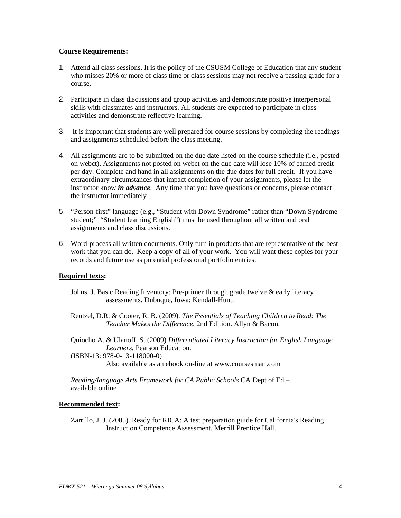### **Course Requirements:**

- 1. Attend all class sessions. It is the policy of the CSUSM College of Education that any student who misses 20% or more of class time or class sessions may not receive a passing grade for a course.
- 2. Participate in class discussions and group activities and demonstrate positive interpersonal skills with classmates and instructors. All students are expected to participate in class activities and demonstrate reflective learning.
- 3. It is important that students are well prepared for course sessions by completing the readings and assignments scheduled before the class meeting.
- 4. All assignments are to be submitted on the due date listed on the course schedule (i.e., posted on webct). Assignments not posted on webct on the due date will lose 10% of earned credit per day. Complete and hand in all assignments on the due dates for full credit. If you have extraordinary circumstances that impact completion of your assignments, please let the instructor know *in advance*. Any time that you have questions or concerns, please contact the instructor immediately
- 5. "Person-first" language (e.g., "Student with Down Syndrome" rather than "Down Syndrome student;" "Student learning English") must be used throughout all written and oral assignments and class discussions.
- 6. Word-process all written documents. Only turn in products that are representative of the best work that you can do. Keep a copy of all of your work. You will want these copies for your records and future use as potential professional portfolio entries.

## **Required texts:**

- Johns, J. Basic Reading Inventory: Pre-primer through grade twelve & early literacy assessments. Dubuque, Iowa: Kendall-Hunt.
- Reutzel, D.R. & Cooter, R. B. (2009). *The Essentials of Teaching Children to Read: The Teacher Makes the Difference*, 2nd Edition. Allyn & Bacon.
- Quiocho A. & Ulanoff, S. (2009) *Differentiated Literacy Instruction for English Language Learners.* Pearson Education.
- (ISBN-13: 978-0-13-118000-0) Also available as an ebook on-line at www.coursesmart.com

*Reading/language Arts Framework for CA Public Schools* CA Dept of Ed – available online

### **Recommended text:**

Zarrillo, J. J. (2005). Ready for RICA: A test preparation guide for California's Reading Instruction Competence Assessment. Merrill Prentice Hall.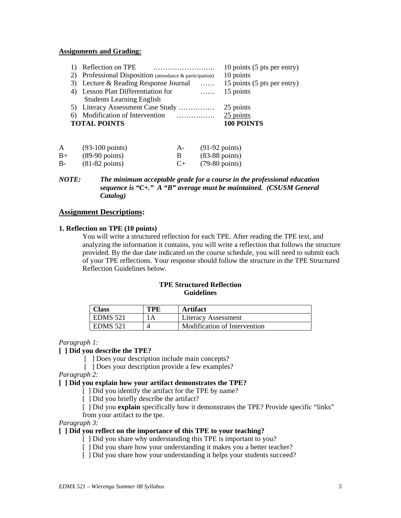### **Assignments and Grading:**

| Reflection on TPE<br>Professional Disposition (attendance & participation) | 10 points (5 pts per entry)<br>10 points |
|----------------------------------------------------------------------------|------------------------------------------|
| 3) Lecture & Reading Response Journal                                      | 15 points (5 pts per entry)              |
| 4) Lesson Plan Differentiation for                                         | 15 points<br>$\ldots$                    |
| <b>Students Learning English</b>                                           |                                          |
|                                                                            |                                          |
| 5) Literacy Assessment Case Study                                          | 25 points                                |
| Modification of Intervention<br>.<br>6)                                    | 25 points                                |
| <b>TOTAL POINTS</b>                                                        | 100 POINTS                               |

| A    | $(93-100 \text{ points})$ | $A-$ | $(91-92 \text{ points})$ |
|------|---------------------------|------|--------------------------|
| $B+$ | $(89-90 \text{ points})$  |      | $(83-88 \text{ points})$ |
| $B-$ | $(81-82 \text{ points})$  | $C+$ | $(79-80 \text{ points})$ |

### *NOTE: The minimum acceptable grade for a course in the professional education sequence is "C+." A "B" average must be maintained. (CSUSM General Catalog)*

## **Assignment Descriptions:**

#### **1. Reflection on TPE (10 points)**

You will write a structured reflection for each TPE. After reading the TPE text, and analyzing the information it contains, you will write a reflection that follows the structure provided. By the due date indicated on the course schedule, you will need to submit each of your TPE reflections. Your response should follow the structure in the TPE Structured Reflection Guidelines below.

## **TPE Structured Reflection Guidelines**

| <b>Class</b>    | TPF | <b>Artifact</b>              |
|-----------------|-----|------------------------------|
| <b>EDMS</b> 521 |     | Literacy Assessment          |
| <b>EDMS</b> 521 |     | Modification of Intervention |

#### *Paragraph 1:*

# **[ ] Did you describe the TPE?**

[ ] Does your description include main concepts?

[ ] Does your description provide a few examples?

*Paragraph 2:* 

#### **[ ] Did you explain how your artifact demonstrates the TPE?**

[ ] Did you identify the artifact for the TPE by name?

[ ] Did you briefly describe the artifact?

[  $\Box$ ] Did you **explain** specifically how it demonstrates the TPE? Provide specific "links"

from your artifact to the tpe.

*Paragraph 3:* 

### **[ ] Did you reflect on the importance of this TPE to your teaching?**

[ ] Did you share why understanding this TPE is important to you?

- [ ] Did you share how your understanding it makes you a better teacher?
- [ ] Did you share how your understanding it helps your students succeed?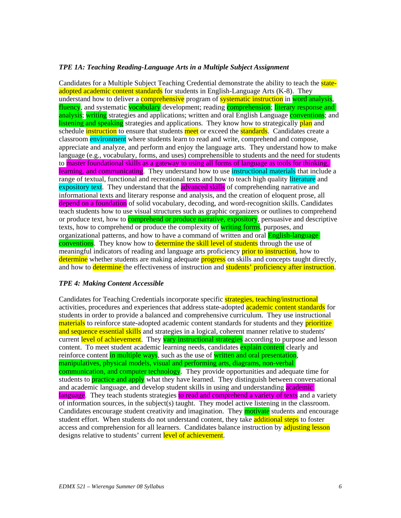### *TPE 1A: Teaching Reading-Language Arts in a Multiple Subject Assignment*

Candidates for a Multiple Subject Teaching Credential demonstrate the ability to teach the **state**adopted academic content standards for students in English-Language Arts (K-8). They understand how to deliver a **comprehensive** program of **systematic instruction** in word analysis, fluency, and systematic vocabulary development; reading comprehension; literary response and analysis; writing strategies and applications; written and oral English Language conventions; and listening and speaking strategies and applications. They know how to strategically plan and schedule **instruction** to ensure that students meet or exceed the **standards**. Candidates create a classroom environment where students learn to read and write, comprehend and compose, appreciate and analyze, and perform and enjoy the language arts. They understand how to make language (e.g., vocabulary, forms, and uses) comprehensible to students and the need for students to master foundational skills as a gateway to using all forms of language as tools for thinking, learning, and communicating. They understand how to use instructional materials that include a range of textual, functional and recreational texts and how to teach high quality literature and expository text. They understand that the **advanced skills** of comprehending narrative and informational texts and literary response and analysis, and the creation of eloquent prose, all depend on a foundation of solid vocabulary, decoding, and word-recognition skills. Candidates teach students how to use visual structures such as graphic organizers or outlines to comprehend or produce text, how to **comprehend or produce narrative, expository**, persuasive and descriptive texts, how to comprehend or produce the complexity of writing forms, purposes, and organizational patterns, and how to have a command of written and oral **English-language** conventions. They know how to determine the skill level of students through the use of meaningful indicators of reading and language arts proficiency **prior to instruction**, how to determine whether students are making adequate **progress** on skills and concepts taught directly, and how to **determine** the effectiveness of instruction and **students' proficiency after instruction**.

#### *TPE 4: Making Content Accessible*

Candidates for Teaching Credentials incorporate specific strategies, teaching/instructional activities, procedures and experiences that address state-adopted **academic content standards** for students in order to provide a balanced and comprehensive curriculum. They use instructional materials to reinforce state-adopted academic content standards for students and they prioritize and sequence essential skills and strategies in a logical, coherent manner relative to students' current level of achievement. They vary instructional strategies according to purpose and lesson content. To meet student academic learning needs, candidates explain content clearly and reinforce content in multiple ways, such as the use of written and oral presentation, manipulatives, physical models, visual and performing arts, diagrams, non-verbal communication, and computer technology. They provide opportunities and adequate time for students to **practice and apply** what they have learned. They distinguish between conversational and academic language, and develop student skills in using and understanding academic language. They teach students strategies to read and comprehend a variety of texts and a variety of information sources, in the subject(s) taught. They model active listening in the classroom. Candidates encourage student creativity and imagination. They **motivate** students and encourage student effort. When students do not understand content, they take **additional steps** to foster access and comprehension for all learners. Candidates balance instruction by adjusting lesson designs relative to students' current level of achievement.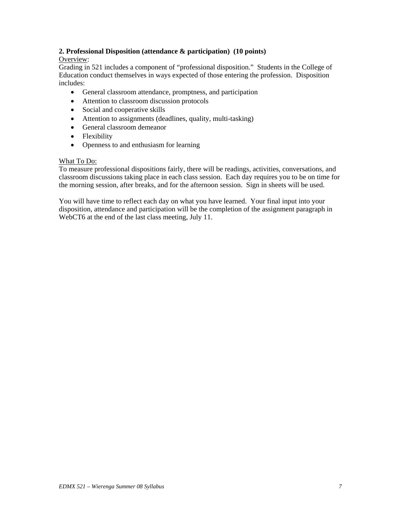# **2. Professional Disposition (attendance & participation) (10 points)**

# Overview:

Grading in 521 includes a component of "professional disposition." Students in the College of Education conduct themselves in ways expected of those entering the profession. Disposition includes:

- General classroom attendance, promptness, and participation
- Attention to classroom discussion protocols
- Social and cooperative skills
- Attention to assignments (deadlines, quality, multi-tasking)
- General classroom demeanor
- Flexibility
- Openness to and enthusiasm for learning

## What To Do:

To measure professional dispositions fairly, there will be readings, activities, conversations, and classroom discussions taking place in each class session. Each day requires you to be on time for the morning session, after breaks, and for the afternoon session. Sign in sheets will be used.

You will have time to reflect each day on what you have learned. Your final input into your disposition, attendance and participation will be the completion of the assignment paragraph in WebCT6 at the end of the last class meeting, July 11.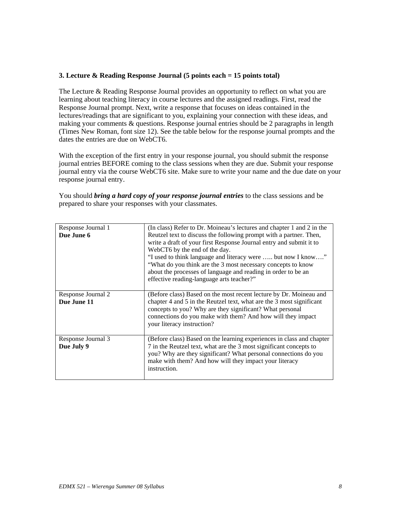# **3. Lecture & Reading Response Journal (5 points each = 15 points total)**

The Lecture & Reading Response Journal provides an opportunity to reflect on what you are learning about teaching literacy in course lectures and the assigned readings. First, read the Response Journal prompt. Next, write a response that focuses on ideas contained in the lectures/readings that are significant to you, explaining your connection with these ideas, and making your comments & questions. Response journal entries should be 2 paragraphs in length (Times New Roman, font size 12). See the table below for the response journal prompts and the dates the entries are due on WebCT6.

With the exception of the first entry in your response journal, you should submit the response journal entries BEFORE coming to the class sessions when they are due. Submit your response journal entry via the course WebCT6 site. Make sure to write your name and the due date on your response journal entry.

| You should <i>bring a hard copy of your response journal entries</i> to the class sessions and be |
|---------------------------------------------------------------------------------------------------|
| prepared to share your responses with your classmates.                                            |

| Response Journal 1<br>Due June 6  | (In class) Refer to Dr. Moineau's lectures and chapter 1 and 2 in the<br>Reutzel text to discuss the following prompt with a partner. Then,<br>write a draft of your first Response Journal entry and submit it to<br>WebCT6 by the end of the day.<br>"I used to think language and literacy were  but now I know"<br>"What do you think are the 3 most necessary concepts to know<br>about the processes of language and reading in order to be an<br>effective reading-language arts teacher?" |
|-----------------------------------|---------------------------------------------------------------------------------------------------------------------------------------------------------------------------------------------------------------------------------------------------------------------------------------------------------------------------------------------------------------------------------------------------------------------------------------------------------------------------------------------------|
| Response Journal 2<br>Due June 11 | (Before class) Based on the most recent lecture by Dr. Moineau and<br>chapter 4 and 5 in the Reutzel text, what are the 3 most significant<br>concepts to you? Why are they significant? What personal<br>connections do you make with them? And how will they impact<br>your literacy instruction?                                                                                                                                                                                               |
| Response Journal 3<br>Due July 9  | (Before class) Based on the learning experiences in class and chapter<br>7 in the Reutzel text, what are the 3 most significant concepts to<br>you? Why are they significant? What personal connections do you<br>make with them? And how will they impact your literacy<br>instruction.                                                                                                                                                                                                          |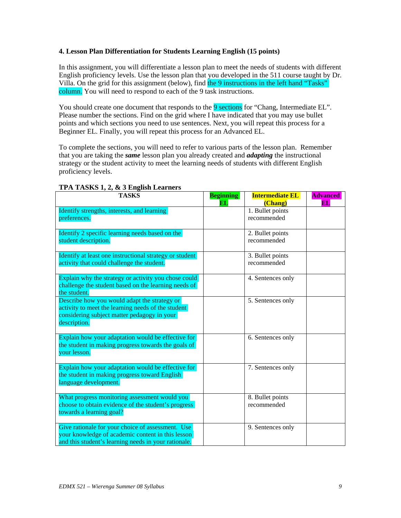## **4. Lesson Plan Differentiation for Students Learning English (15 points)**

In this assignment, you will differentiate a lesson plan to meet the needs of students with different English proficiency levels. Use the lesson plan that you developed in the 511 course taught by Dr. Villa. On the grid for this assignment (below), find the 9 instructions in the left hand "Tasks" column. You will need to respond to each of the 9 task instructions.

You should create one document that responds to the 9 sections for "Chang, Intermediate EL". Please number the sections. Find on the grid where I have indicated that you may use bullet points and which sections you need to use sentences. Next, you will repeat this process for a Beginner EL. Finally, you will repeat this process for an Advanced EL.

To complete the sections, you will need to refer to various parts of the lesson plan. Remember that you are taking the *same* lesson plan you already created and *adapting* the instructional strategy or the student activity to meet the learning needs of students with different English proficiency levels.

| <b>TASKS</b>                                                | <b>Beginning</b> | <b>Intermediate EL</b>          | <b>Advanced</b> |
|-------------------------------------------------------------|------------------|---------------------------------|-----------------|
|                                                             | $\mathbf{EL}$    | (Chang)                         | EL.             |
| Identify strengths, interests, and learning<br>preferences. |                  | 1. Bullet points<br>recommended |                 |
|                                                             |                  |                                 |                 |
| Identify 2 specific learning needs based on the             |                  | 2. Bullet points                |                 |
| student description.                                        |                  | recommended                     |                 |
|                                                             |                  |                                 |                 |
| Identify at least one instructional strategy or student     |                  | 3. Bullet points                |                 |
| activity that could challenge the student.                  |                  | recommended                     |                 |
| Explain why the strategy or activity you chose could        |                  | 4. Sentences only               |                 |
| challenge the student based on the learning needs of        |                  |                                 |                 |
| the student.                                                |                  |                                 |                 |
| Describe how you would adapt the strategy or                |                  | 5. Sentences only               |                 |
| activity to meet the learning needs of the student          |                  |                                 |                 |
| considering subject matter pedagogy in your<br>description. |                  |                                 |                 |
|                                                             |                  |                                 |                 |
| Explain how your adaptation would be effective for          |                  | 6. Sentences only               |                 |
| the student in making progress towards the goals of         |                  |                                 |                 |
| your lesson.                                                |                  |                                 |                 |
| Explain how your adaptation would be effective for          |                  | 7. Sentences only               |                 |
| the student in making progress toward English               |                  |                                 |                 |
| language development.                                       |                  |                                 |                 |
|                                                             |                  |                                 |                 |
| What progress monitoring assessment would you               |                  | 8. Bullet points                |                 |
| choose to obtain evidence of the student's progress         |                  | recommended                     |                 |
| towards a learning goal?                                    |                  |                                 |                 |
| Give rationale for your choice of assessment. Use           |                  | 9. Sentences only               |                 |
| your knowledge of academic content in this lesson           |                  |                                 |                 |
| and this student's learning needs in your rationale.        |                  |                                 |                 |

#### **TPA TASKS 1, 2, & 3 English Learners**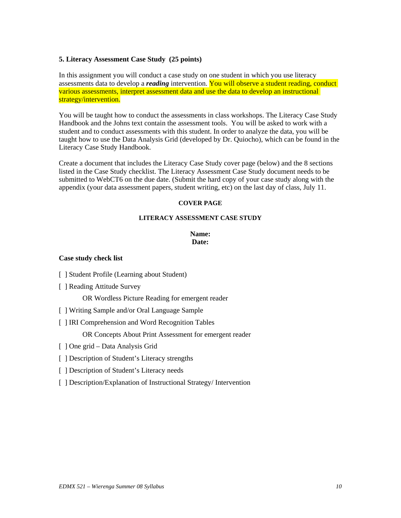# **5. Literacy Assessment Case Study (25 points)**

In this assignment you will conduct a case study on one student in which you use literacy assessments data to develop a *reading* intervention. You will observe a student reading, conduct various assessments, interpret assessment data and use the data to develop an instructional strategy/intervention.

You will be taught how to conduct the assessments in class workshops. The Literacy Case Study Handbook and the Johns text contain the assessment tools. You will be asked to work with a student and to conduct assessments with this student. In order to analyze the data, you will be taught how to use the Data Analysis Grid (developed by Dr. Quiocho), which can be found in the Literacy Case Study Handbook.

Create a document that includes the Literacy Case Study cover page (below) and the 8 sections listed in the Case Study checklist. The Literacy Assessment Case Study document needs to be submitted to WebCT6 on the due date. (Submit the hard copy of your case study along with the appendix (your data assessment papers, student writing, etc) on the last day of class, July 11.

## **COVER PAGE**

### **LITERACY ASSESSMENT CASE STUDY**

### **Name: Date:**

### **Case study check list**

- [ ] Student Profile (Learning about Student)
- [ ] Reading Attitude Survey

OR Wordless Picture Reading for emergent reader

- [ ] Writing Sample and/or Oral Language Sample
- [ ] IRI Comprehension and Word Recognition Tables

OR Concepts About Print Assessment for emergent reader

- [ ] One grid Data Analysis Grid
- [ ] Description of Student's Literacy strengths
- [ ] Description of Student's Literacy needs
- [ ] Description/Explanation of Instructional Strategy/ Intervention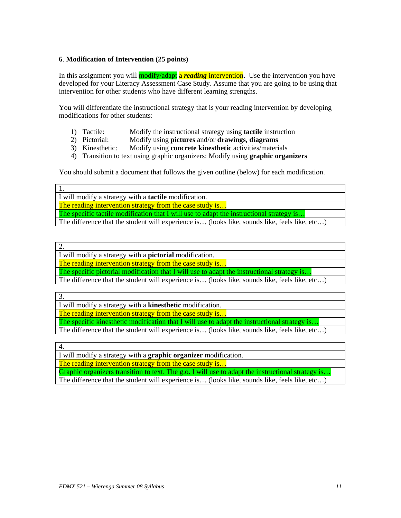# **6**. **Modification of Intervention (25 points)**

In this assignment you will **modify/adapt** a *reading* intervention. Use the intervention you have developed for your Literacy Assessment Case Study. Assume that you are going to be using that intervention for other students who have different learning strengths.

You will differentiate the instructional strategy that is your reading intervention by developing modifications for other students:

- 1) Tactile: Modify the instructional strategy using **tactile** instruction
- 2) Pictorial: Modify using **pictures** and/or **drawings, diagrams**
- 3) Kinesthetic: Modify using **concrete kinesthetic** activities/materials
- 4) Transition to text using graphic organizers: Modify using **graphic organizers**

You should submit a document that follows the given outline (below) for each modification.

1.

I will modify a strategy with a **tactile** modification. The reading intervention strategy from the case study is... The specific tactile modification that I will use to adapt the instructional strategy is... The difference that the student will experience is… (looks like, sounds like, feels like, etc…)

2.

I will modify a strategy with a **pictorial** modification.

The reading intervention strategy from the case study is...

The specific pictorial modification that I will use to adapt the instructional strategy is..

The difference that the student will experience is… (looks like, sounds like, feels like, etc…)

3.

I will modify a strategy with a **kinesthetic** modification.

The reading intervention strategy from the case study is...

The specific kinesthetic modification that I will use to adapt the instructional strategy is..

The difference that the student will experience is… (looks like, sounds like, feels like, etc…)

4.

I will modify a strategy with a **graphic organizer** modification.

The reading intervention strategy from the case study is...

Graphic organizers transition to text. The g.o. I will use to adapt the instructional strategy is.. The difference that the student will experience is... (looks like, sounds like, feels like, etc...)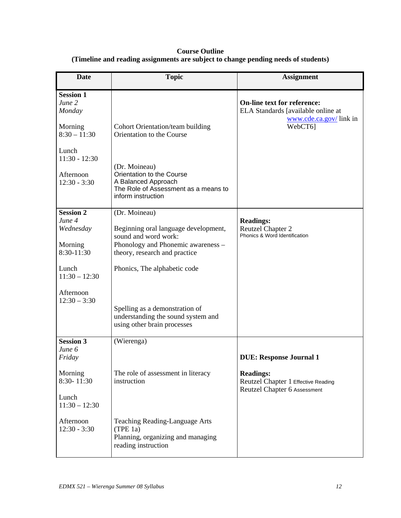# **Course Outline (Timeline and reading assignments are subject to change pending needs of students)**

| <b>Date</b>                                     | <b>Topic</b>                                                                                                                    | <b>Assignment</b>                                                                                             |
|-------------------------------------------------|---------------------------------------------------------------------------------------------------------------------------------|---------------------------------------------------------------------------------------------------------------|
| <b>Session 1</b><br>June 2<br>Monday<br>Morning | Cohort Orientation/team building                                                                                                | <b>On-line text for reference:</b><br>ELA Standards [available online at<br>www.cde.ca.gov/link in<br>WebCT6] |
| $8:30 - 11:30$<br>Lunch<br>$11:30 - 12:30$      | Orientation to the Course                                                                                                       |                                                                                                               |
| Afternoon<br>$12:30 - 3:30$                     | (Dr. Moineau)<br>Orientation to the Course<br>A Balanced Approach<br>The Role of Assessment as a means to<br>inform instruction |                                                                                                               |
| <b>Session 2</b><br>June 4                      | (Dr. Moineau)                                                                                                                   | <b>Readings:</b>                                                                                              |
| Wednesday                                       | Beginning oral language development,<br>sound and word work:                                                                    | <b>Reutzel Chapter 2</b><br>Phonics & Word Identification                                                     |
| Morning<br>$8:30-11:30$                         | Phonology and Phonemic awareness -<br>theory, research and practice                                                             |                                                                                                               |
| Lunch<br>$11:30 - 12:30$                        | Phonics, The alphabetic code                                                                                                    |                                                                                                               |
| Afternoon<br>$12:30 - 3:30$                     |                                                                                                                                 |                                                                                                               |
|                                                 | Spelling as a demonstration of<br>understanding the sound system and<br>using other brain processes                             |                                                                                                               |
| <b>Session 3</b><br>June 6                      | (Wierenga)                                                                                                                      |                                                                                                               |
| Friday                                          |                                                                                                                                 | <b>DUE: Response Journal 1</b>                                                                                |
| Morning<br>8:30-11:30                           | The role of assessment in literacy<br>instruction                                                                               | <b>Readings:</b><br>Reutzel Chapter 1 Effective Reading<br>Reutzel Chapter 6 Assessment                       |
| Lunch<br>$11:30 - 12:30$                        |                                                                                                                                 |                                                                                                               |
| Afternoon<br>$12:30 - 3:30$                     | Teaching Reading-Language Arts<br>(TPE 1a)<br>Planning, organizing and managing<br>reading instruction                          |                                                                                                               |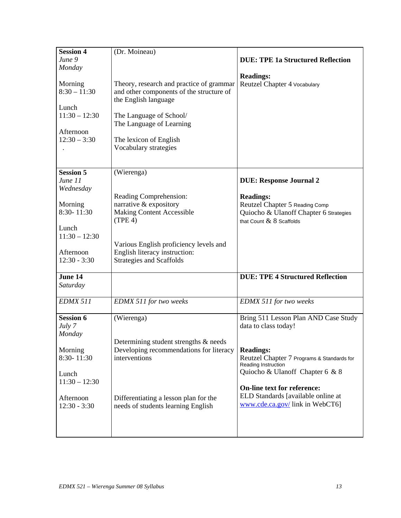| <b>Session 4</b> | (Dr. Moineau)                            |                                            |
|------------------|------------------------------------------|--------------------------------------------|
| June 9           |                                          | <b>DUE: TPE 1a Structured Reflection</b>   |
| Monday           |                                          |                                            |
|                  |                                          | <b>Readings:</b>                           |
| Morning          | Theory, research and practice of grammar | Reutzel Chapter 4 Vocabulary               |
| $8:30 - 11:30$   | and other components of the structure of |                                            |
|                  | the English language                     |                                            |
| Lunch            |                                          |                                            |
| $11:30 - 12:30$  | The Language of School/                  |                                            |
|                  | The Language of Learning                 |                                            |
| Afternoon        |                                          |                                            |
| $12:30 - 3:30$   | The lexicon of English                   |                                            |
|                  | Vocabulary strategies                    |                                            |
|                  |                                          |                                            |
|                  |                                          |                                            |
| <b>Session 5</b> | (Wierenga)                               |                                            |
| June 11          |                                          | <b>DUE: Response Journal 2</b>             |
| Wednesday        |                                          |                                            |
|                  | Reading Comprehension:                   | <b>Readings:</b>                           |
| Morning          | narrative & expository                   | Reutzel Chapter 5 Reading Comp             |
| 8:30-11:30       | <b>Making Content Accessible</b>         | Quiocho & Ulanoff Chapter 6 Strategies     |
|                  | (TPE 4)                                  | that Count $\&$ 8 Scaffolds                |
| Lunch            |                                          |                                            |
| $11:30 - 12:30$  |                                          |                                            |
|                  | Various English proficiency levels and   |                                            |
| Afternoon        | English literacy instruction:            |                                            |
| $12:30 - 3:30$   | <b>Strategies and Scaffolds</b>          |                                            |
|                  |                                          |                                            |
| June 14          |                                          | <b>DUE: TPE 4 Structured Reflection</b>    |
| Saturday         |                                          |                                            |
|                  |                                          |                                            |
| <b>EDMX 511</b>  | <b>EDMX 511 for two weeks</b>            | <b>EDMX 511 for two weeks</b>              |
|                  |                                          |                                            |
| <b>Session 6</b> | (Wierenga)                               | Bring 511 Lesson Plan AND Case Study       |
| July 7           |                                          | data to class today!                       |
| Monday           |                                          |                                            |
|                  | Determining student strengths & needs    |                                            |
| Morning          | Developing recommendations for literacy  | <b>Readings:</b>                           |
| 8:30-11:30       | interventions                            | Reutzel Chapter 7 Programs & Standards for |
|                  |                                          | Reading Instruction                        |
| Lunch            |                                          | Quiocho & Ulanoff Chapter 6 & 8            |
| $11:30 - 12:30$  |                                          |                                            |
|                  |                                          | <b>On-line text for reference:</b>         |
| Afternoon        | Differentiating a lesson plan for the    | ELD Standards [available online at         |
| $12:30 - 3:30$   | needs of students learning English       | www.cde.ca.gov/link in WebCT6]             |
|                  |                                          |                                            |
|                  |                                          |                                            |
|                  |                                          |                                            |
|                  |                                          |                                            |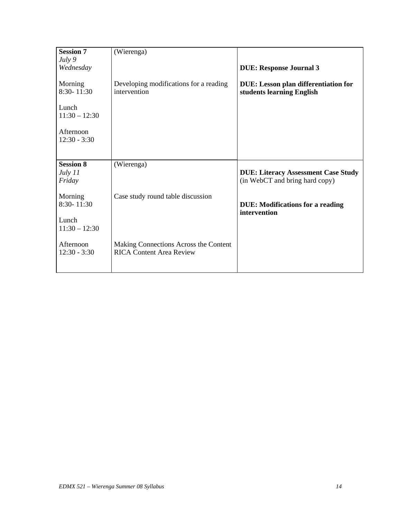| <b>Session 7</b>                        | (Wierenga)                                                               |                                                                              |
|-----------------------------------------|--------------------------------------------------------------------------|------------------------------------------------------------------------------|
| July 9                                  |                                                                          |                                                                              |
| Wednesday                               |                                                                          | <b>DUE: Response Journal 3</b>                                               |
| Morning<br>8:30-11:30                   | Developing modifications for a reading<br>intervention                   | DUE: Lesson plan differentiation for<br>students learning English            |
| Lunch<br>$11:30 - 12:30$                |                                                                          |                                                                              |
| Afternoon<br>$12:30 - 3:30$             |                                                                          |                                                                              |
|                                         |                                                                          |                                                                              |
| <b>Session 8</b><br>July $11$<br>Friday | (Wierenga)                                                               | <b>DUE: Literacy Assessment Case Study</b><br>(in WebCT and bring hard copy) |
| Morning<br>8:30-11:30                   | Case study round table discussion                                        | <b>DUE:</b> Modifications for a reading<br>intervention                      |
| Lunch<br>$11:30 - 12:30$                |                                                                          |                                                                              |
| Afternoon<br>$12:30 - 3:30$             | Making Connections Across the Content<br><b>RICA Content Area Review</b> |                                                                              |